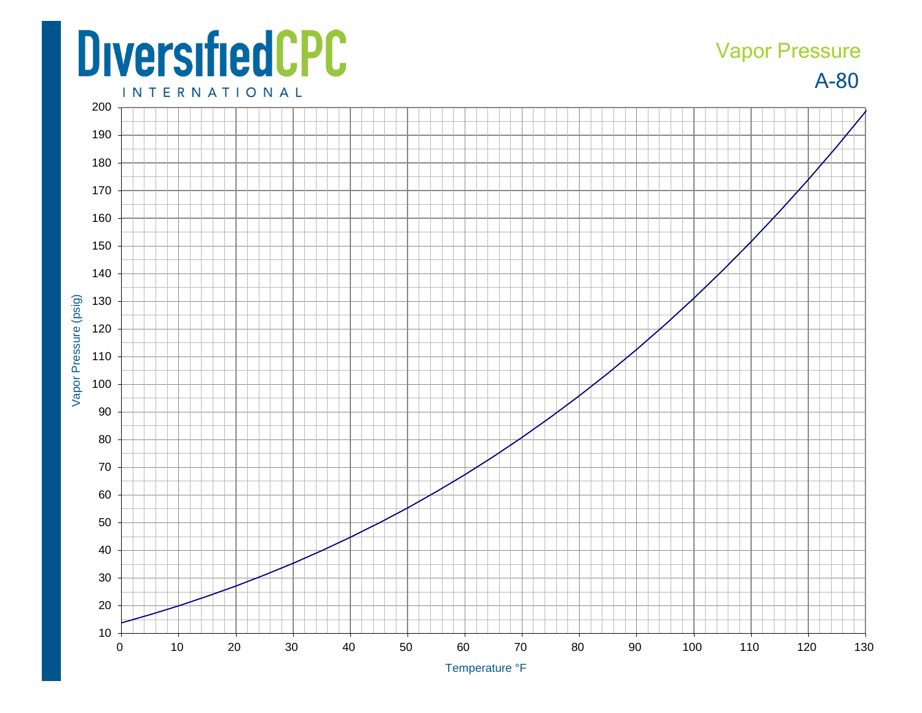## **DiversifiedCPC**

## A -80 Vapor Pressure

**INTERNATIONAL**